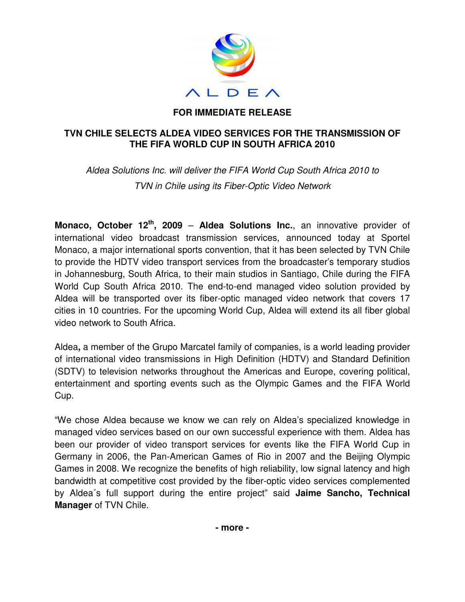

# **FOR IMMEDIATE RELEASE**

# **TVN CHILE SELECTS ALDEA VIDEO SERVICES FOR THE TRANSMISSION OF THE FIFA WORLD CUP IN SOUTH AFRICA 2010**

Aldea Solutions Inc. will deliver the FIFA World Cup South Africa 2010 to TVN in Chile using its Fiber-Optic Video Network

**Monaco, October 12th, 2009** – **Aldea Solutions Inc.**, an innovative provider of international video broadcast transmission services, announced today at Sportel Monaco, a major international sports convention, that it has been selected by TVN Chile to provide the HDTV video transport services from the broadcaster's temporary studios in Johannesburg, South Africa, to their main studios in Santiago, Chile during the FIFA World Cup South Africa 2010. The end-to-end managed video solution provided by Aldea will be transported over its fiber-optic managed video network that covers 17 cities in 10 countries. For the upcoming World Cup, Aldea will extend its all fiber global video network to South Africa.

Aldea**,** a member of the Grupo Marcatel family of companies, is a world leading provider of international video transmissions in High Definition (HDTV) and Standard Definition (SDTV) to television networks throughout the Americas and Europe, covering political, entertainment and sporting events such as the Olympic Games and the FIFA World Cup.

"We chose Aldea because we know we can rely on Aldea's specialized knowledge in managed video services based on our own successful experience with them. Aldea has been our provider of video transport services for events like the FIFA World Cup in Germany in 2006, the Pan-American Games of Rio in 2007 and the Beijing Olympic Games in 2008. We recognize the benefits of high reliability, low signal latency and high bandwidth at competitive cost provided by the fiber-optic video services complemented by Aldea´s full support during the entire project" said **Jaime Sancho, Technical Manager** of TVN Chile.

**- more -**